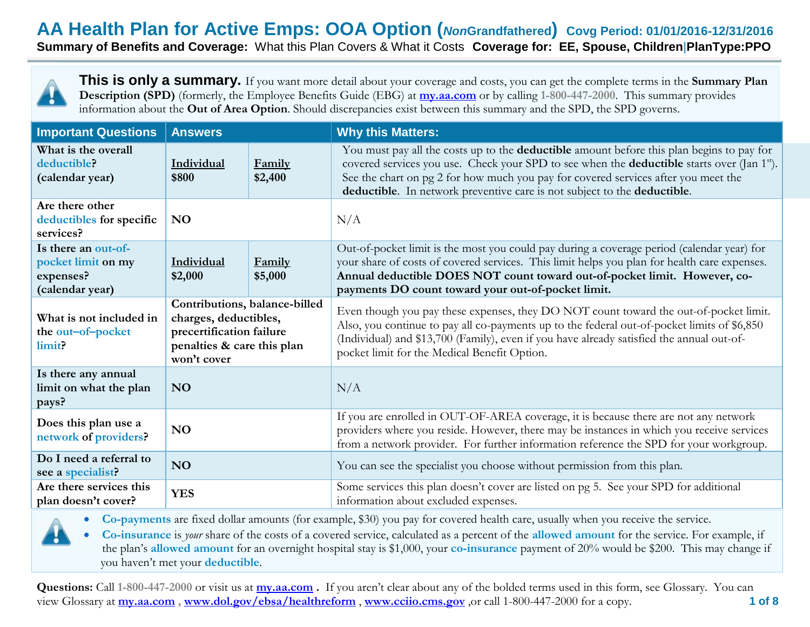**Summary of Benefits and Coverage:** What this Plan Covers & What it Costs **Coverage for: EE, Spouse, Children**|**PlanType:PPO**



**This is only a summary.** If you want more detail about your coverage and costs, you can get the complete terms in the **Summary Plan Description (SPD)** (formerly, the Employee Benefits Guide (EBG) at **[my.aa.com](http://www.my.aa.com/)** or by calling **1-800-447-2000**. This summary provides information about the **Out of Area Option**. Should discrepancies exist between this summary and the SPD, the SPD governs.

| <b>Important Questions</b>                                                | <b>Answers</b>                                                                                                                  |                   | <b>Why this Matters:</b>                                                                                                                                                                                                                                                                                                                                                             |  |  |
|---------------------------------------------------------------------------|---------------------------------------------------------------------------------------------------------------------------------|-------------------|--------------------------------------------------------------------------------------------------------------------------------------------------------------------------------------------------------------------------------------------------------------------------------------------------------------------------------------------------------------------------------------|--|--|
| What is the overall<br>deductible?<br>(calendar year)                     | Individual<br>\$800                                                                                                             | Family<br>\$2,400 | You must pay all the costs up to the <b>deductible</b> amount before this plan begins to pay for<br>covered services you use. Check your SPD to see when the <b>deductible</b> starts over (Jan 1 <sup>st</sup> ).<br>See the chart on pg 2 for how much you pay for covered services after you meet the<br>deductible. In network preventive care is not subject to the deductible. |  |  |
| Are there other<br>deductibles for specific<br>services?                  | <b>NO</b>                                                                                                                       |                   | N/A                                                                                                                                                                                                                                                                                                                                                                                  |  |  |
| Is there an out-of-<br>pocket limit on my<br>expenses?<br>(calendar year) | Individual<br>Family<br>\$2,000<br>\$5,000                                                                                      |                   | Out-of-pocket limit is the most you could pay during a coverage period (calendar year) for<br>your share of costs of covered services. This limit helps you plan for health care expenses.<br>Annual deductible DOES NOT count toward out-of-pocket limit. However, co-<br>payments DO count toward your out-of-pocket limit.                                                        |  |  |
| What is not included in<br>the out-of-pocket<br>limit?                    | Contributions, balance-billed<br>charges, deductibles,<br>precertification failure<br>penalties & care this plan<br>won't cover |                   | Even though you pay these expenses, they DO NOT count toward the out-of-pocket limit.<br>Also, you continue to pay all co-payments up to the federal out-of-pocket limits of \$6,850<br>(Individual) and \$13,700 (Family), even if you have already satisfied the annual out-of-<br>pocket limit for the Medical Benefit Option.                                                    |  |  |
| Is there any annual<br>limit on what the plan<br>pays?                    | N <sub>O</sub>                                                                                                                  |                   | N/A                                                                                                                                                                                                                                                                                                                                                                                  |  |  |
| Does this plan use a<br>network of providers?                             | N <sub>O</sub>                                                                                                                  |                   | If you are enrolled in OUT-OF-AREA coverage, it is because there are not any network<br>providers where you reside. However, there may be instances in which you receive services<br>from a network provider. For further information reference the SPD for your workgroup.                                                                                                          |  |  |
| Do I need a referral to<br>see a specialist?                              | N <sub>O</sub>                                                                                                                  |                   | You can see the specialist you choose without permission from this plan.                                                                                                                                                                                                                                                                                                             |  |  |
| Are there services this<br>plan doesn't cover?                            | <b>YES</b>                                                                                                                      |                   | Some services this plan doesn't cover are listed on pg 5. See your SPD for additional<br>information about excluded expenses.                                                                                                                                                                                                                                                        |  |  |

**Co-payments** are fixed dollar amounts (for example, \$30) you pay for covered health care, usually when you receive the service.

 **Co-insurance** is *your* share of the costs of a covered service, calculated as a percent of the **allowed amount** for the service. For example, if the plan's **allowed amount** for an overnight hospital stay is \$1,000, your **co-insurance** payment of 20% would be \$200. This may change if you haven't met your **deductible**.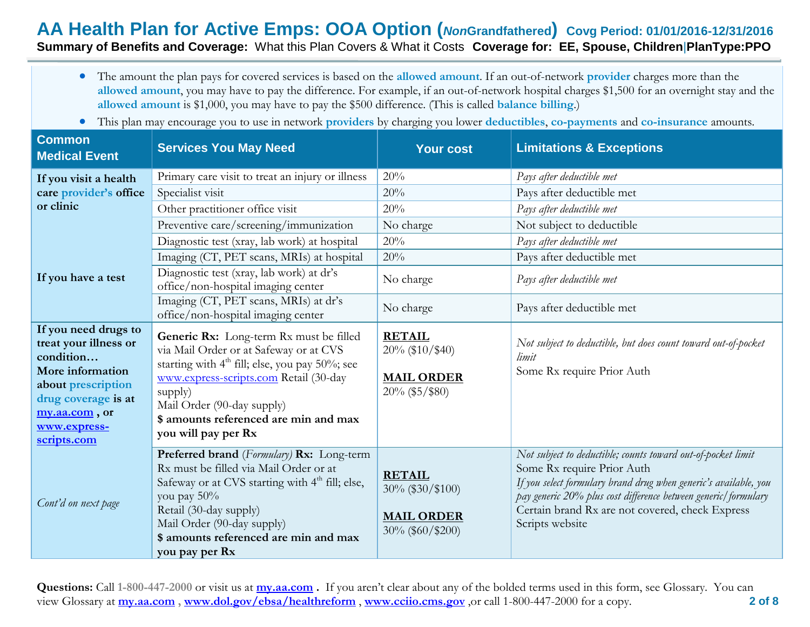#### **AA Health Plan for Active Emps: OOA Option (***Non***Grandfathered) Covg Period: 01/01/2016-12/31/2016 Summary of Benefits and Coverage:** What this Plan Covers & What it Costs **Coverage for: EE, Spouse, Children**|**PlanType:PPO**

- The amount the plan pays for covered services is based on the **allowed amount**. If an out-of-network **provider** charges more than the **allowed amount**, you may have to pay the difference. For example, if an out-of-network hospital charges \$1,500 for an overnight stay and the **allowed amount** is \$1,000, you may have to pay the \$500 difference. (This is called **balance billing**.)
- This plan may encourage you to use in network **providers** by charging you lower **deductibles**, **co-payments** and **co-insurance** amounts.

| <b>Common</b><br><b>Medical Event</b>                                                                                                                                       | <b>Services You May Need</b>                                                                                                                                                                                                                                                                       | <b>Your cost</b>                                                              | <b>Limitations &amp; Exceptions</b>                                                                                                                                                                                                                                                                    |
|-----------------------------------------------------------------------------------------------------------------------------------------------------------------------------|----------------------------------------------------------------------------------------------------------------------------------------------------------------------------------------------------------------------------------------------------------------------------------------------------|-------------------------------------------------------------------------------|--------------------------------------------------------------------------------------------------------------------------------------------------------------------------------------------------------------------------------------------------------------------------------------------------------|
| If you visit a health                                                                                                                                                       | Primary care visit to treat an injury or illness                                                                                                                                                                                                                                                   | 20%                                                                           | Pays after deductible met                                                                                                                                                                                                                                                                              |
| care provider's office                                                                                                                                                      | Specialist visit                                                                                                                                                                                                                                                                                   | 20%                                                                           | Pays after deductible met                                                                                                                                                                                                                                                                              |
| or clinic                                                                                                                                                                   | Other practitioner office visit                                                                                                                                                                                                                                                                    | 20%                                                                           | Pays after deductible met                                                                                                                                                                                                                                                                              |
|                                                                                                                                                                             | Preventive care/screening/immunization                                                                                                                                                                                                                                                             | No charge                                                                     | Not subject to deductible                                                                                                                                                                                                                                                                              |
|                                                                                                                                                                             | Diagnostic test (xray, lab work) at hospital                                                                                                                                                                                                                                                       | 20%                                                                           | Pays after deductible met                                                                                                                                                                                                                                                                              |
|                                                                                                                                                                             | Imaging (CT, PET scans, MRIs) at hospital                                                                                                                                                                                                                                                          | 20%                                                                           | Pays after deductible met                                                                                                                                                                                                                                                                              |
| If you have a test                                                                                                                                                          | Diagnostic test (xray, lab work) at dr's<br>office/non-hospital imaging center                                                                                                                                                                                                                     | No charge                                                                     | Pays after deductible met                                                                                                                                                                                                                                                                              |
|                                                                                                                                                                             | Imaging (CT, PET scans, MRIs) at dr's<br>office/non-hospital imaging center                                                                                                                                                                                                                        | No charge                                                                     | Pays after deductible met                                                                                                                                                                                                                                                                              |
| If you need drugs to<br>treat your illness or<br>condition<br>More information<br>about prescription<br>drug coverage is at<br>my.aa.com, or<br>www.express-<br>scripts.com | Generic Rx: Long-term Rx must be filled<br>via Mail Order or at Safeway or at CVS<br>starting with 4 <sup>th</sup> fill; else, you pay 50%; see<br>www.express-scripts.com Retail (30-day<br>supply)<br>Mail Order (90-day supply)<br>\$ amounts referenced are min and max<br>you will pay per Rx | <b>RETAIL</b><br>$20\%$ (\$10/\$40)<br><b>MAIL ORDER</b><br>$20\%$ (\$5/\$80) | Not subject to deductible, but does count toward out-of-pocket<br>limit<br>Some Rx require Prior Auth                                                                                                                                                                                                  |
| Cont'd on next page                                                                                                                                                         | Preferred brand (Formulary) Rx: Long-term<br>Rx must be filled via Mail Order or at<br>Safeway or at CVS starting with 4 <sup>th</sup> fill; else,<br>you pay 50%<br>Retail (30-day supply)<br>Mail Order (90-day supply)<br>\$ amounts referenced are min and max<br>you pay per Rx               | <b>RETAIL</b><br>30% (\$30/\$100)<br><b>MAIL ORDER</b><br>30% (\$60/\$200)    | Not subject to deductible; counts toward out-of-pocket limit<br>Some Rx require Prior Auth<br>If you select formulary brand drug when generic's available, you<br>pay generic 20% plus cost difference between generic/formulary<br>Certain brand Rx are not covered, check Express<br>Scripts website |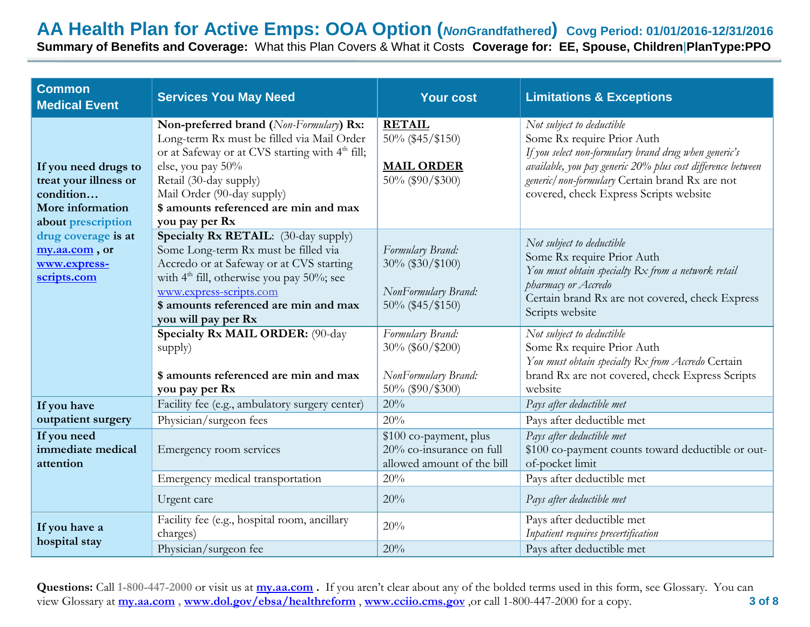**Summary of Benefits and Coverage:** What this Plan Covers & What it Costs **Coverage for: EE, Spouse, Children**|**PlanType:PPO**

| <b>Common</b><br><b>Medical Event</b>                                                                | <b>Services You May Need</b>                                                                                                                                                                                                                                                                 | <b>Your cost</b>                                                                 | <b>Limitations &amp; Exceptions</b>                                                                                                                                                                                                                                         |
|------------------------------------------------------------------------------------------------------|----------------------------------------------------------------------------------------------------------------------------------------------------------------------------------------------------------------------------------------------------------------------------------------------|----------------------------------------------------------------------------------|-----------------------------------------------------------------------------------------------------------------------------------------------------------------------------------------------------------------------------------------------------------------------------|
| If you need drugs to<br>treat your illness or<br>condition<br>More information<br>about prescription | Non-preferred brand (Non-Formulary) Rx:<br>Long-term Rx must be filled via Mail Order<br>or at Safeway or at CVS starting with 4 <sup>th</sup> fill;<br>else, you pay 50%<br>Retail (30-day supply)<br>Mail Order (90-day supply)<br>\$ amounts referenced are min and max<br>you pay per Rx | <b>RETAIL</b><br>50% (\$45/\$150)<br><b>MAIL ORDER</b><br>50% (\$90/\$300)       | Not subject to deductible<br>Some Rx require Prior Auth<br>If you select non-formulary brand drug when generic's<br>available, you pay generic 20% plus cost difference between<br>generic/non-formulary Certain brand Rx are not<br>covered, check Express Scripts website |
| drug coverage is at<br>my.aa.com, or<br>www.express-<br>scripts.com                                  | Specialty Rx RETAIL: (30-day supply)<br>Some Long-term Rx must be filled via<br>Accredo or at Safeway or at CVS starting<br>with $4th$ fill, otherwise you pay 50%; see<br>www.express-scripts.com<br>\$ amounts referenced are min and max<br>you will pay per Rx                           | Formulary Brand:<br>30% (\$30/\$100)<br>NonFormulary Brand:<br>50% (\$45/\$150)  | Not subject to deductible<br>Some Rx require Prior Auth<br>You must obtain specialty Rx from a network retail<br>pharmacy or Accredo<br>Certain brand Rx are not covered, check Express<br>Scripts website                                                                  |
|                                                                                                      | Specialty Rx MAIL ORDER: (90-day<br>supply)<br>\$ amounts referenced are min and max<br>you pay per Rx                                                                                                                                                                                       | Formulary Brand:<br>30% (\$60/\$200)<br>NonFormulary Brand:<br>50% (\$90/\$300)  | Not subject to deductible<br>Some Rx require Prior Auth<br>You must obtain specialty Rx from Accredo Certain<br>brand Rx are not covered, check Express Scripts<br>website                                                                                                  |
| If you have                                                                                          | Facility fee (e.g., ambulatory surgery center)                                                                                                                                                                                                                                               | 20%                                                                              | Pays after deductible met                                                                                                                                                                                                                                                   |
| outpatient surgery                                                                                   | Physician/surgeon fees                                                                                                                                                                                                                                                                       | 20%                                                                              | Pays after deductible met                                                                                                                                                                                                                                                   |
| If you need<br>immediate medical<br>attention                                                        | Emergency room services                                                                                                                                                                                                                                                                      | \$100 co-payment, plus<br>20% co-insurance on full<br>allowed amount of the bill | Pays after deductible met<br>\$100 co-payment counts toward deductible or out-<br>of-pocket limit                                                                                                                                                                           |
|                                                                                                      | Emergency medical transportation                                                                                                                                                                                                                                                             | 20%                                                                              | Pays after deductible met                                                                                                                                                                                                                                                   |
|                                                                                                      | Urgent care                                                                                                                                                                                                                                                                                  | 20%                                                                              | Pays after deductible met                                                                                                                                                                                                                                                   |
| If you have a<br>hospital stay                                                                       | Facility fee (e.g., hospital room, ancillary<br>charges)                                                                                                                                                                                                                                     | 20%                                                                              | Pays after deductible met<br>Inpatient requires precertification                                                                                                                                                                                                            |
|                                                                                                      | Physician/surgeon fee                                                                                                                                                                                                                                                                        | 20%                                                                              | Pays after deductible met                                                                                                                                                                                                                                                   |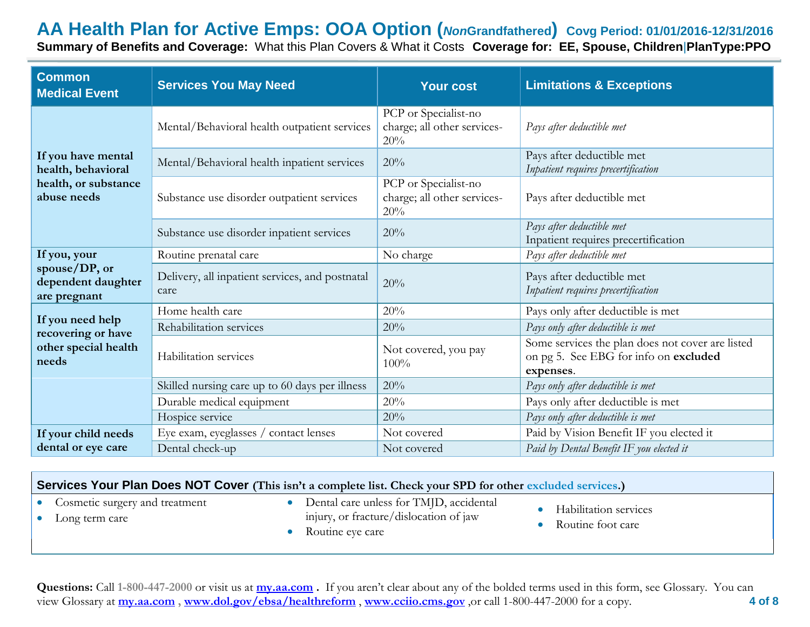**Summary of Benefits and Coverage:** What this Plan Covers & What it Costs **Coverage for: EE, Spouse, Children**|**PlanType:PPO**

| <b>Common</b><br><b>Medical Event</b>               | <b>Services You May Need</b>                            | <b>Your cost</b>                                           | <b>Limitations &amp; Exceptions</b>                                                                    |
|-----------------------------------------------------|---------------------------------------------------------|------------------------------------------------------------|--------------------------------------------------------------------------------------------------------|
|                                                     | Mental/Behavioral health outpatient services            | PCP or Specialist-no<br>charge; all other services-<br>20% | Pays after deductible met                                                                              |
| If you have mental<br>health, behavioral            | Mental/Behavioral health inpatient services             | 20%                                                        | Pays after deductible met<br>Inpatient requires precertification                                       |
| health, or substance<br>abuse needs                 | Substance use disorder outpatient services              | PCP or Specialist-no<br>charge; all other services-<br>20% | Pays after deductible met                                                                              |
|                                                     | Substance use disorder inpatient services               | 20%                                                        | Pays after deductible met<br>Inpatient requires precertification                                       |
| If you, your                                        | Routine prenatal care                                   | No charge                                                  | Pays after deductible met                                                                              |
| spouse/DP, or<br>dependent daughter<br>are pregnant | Delivery, all inpatient services, and postnatal<br>care | 20%                                                        | Pays after deductible met<br>Inpatient requires precertification                                       |
|                                                     | Home health care                                        | 20%                                                        | Pays only after deductible is met                                                                      |
| If you need help<br>recovering or have              | Rehabilitation services                                 | 20%                                                        | Pays only after deductible is met                                                                      |
| other special health<br>needs                       | Habilitation services                                   | Not covered, you pay<br>100%                               | Some services the plan does not cover are listed<br>on pg 5. See EBG for info on excluded<br>expenses. |
|                                                     | Skilled nursing care up to 60 days per illness          | 20%                                                        | Pays only after deductible is met                                                                      |
|                                                     | Durable medical equipment                               | 20%                                                        | Pays only after deductible is met                                                                      |
|                                                     | Hospice service                                         | 20%                                                        | Pays only after deductible is met                                                                      |
| If your child needs                                 | Eye exam, eyeglasses / contact lenses                   | Not covered                                                | Paid by Vision Benefit IF you elected it                                                               |
| dental or eye care                                  | Dental check-up                                         | Not covered                                                | Paid by Dental Benefit IF you elected it                                                               |

| Services Your Plan Does NOT Cover (This isn't a complete list. Check your SPD for other excluded services.) |  |                                                                                                       |  |                                            |
|-------------------------------------------------------------------------------------------------------------|--|-------------------------------------------------------------------------------------------------------|--|--------------------------------------------|
| Cosmetic surgery and treatment<br>Long term care                                                            |  | Dental care unless for TMJD, accidental<br>injury, or fracture/dislocation of jaw<br>Routine eye care |  | Habilitation services<br>Routine foot care |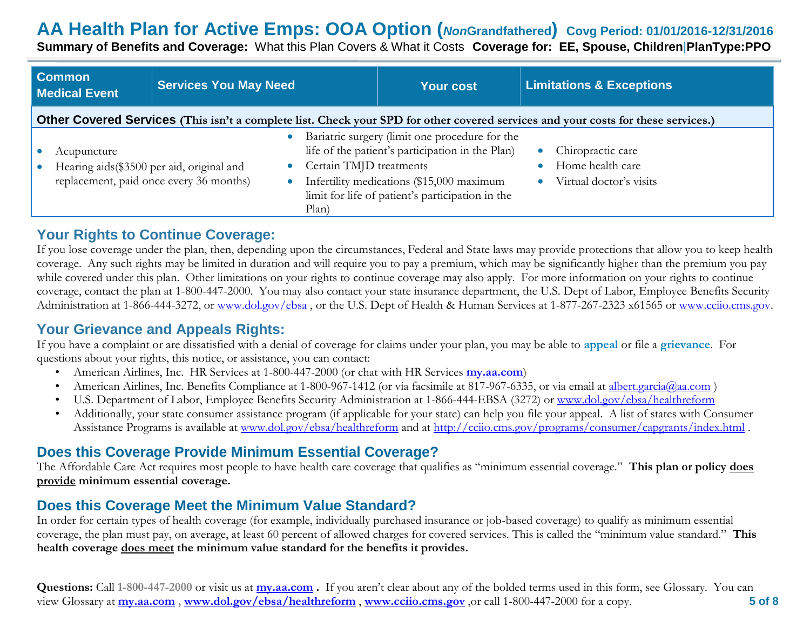**Summary of Benefits and Coverage:** What this Plan Covers & What it Costs **Coverage for: EE, Spouse, Children**|**PlanType:PPO**

| <b>Common</b><br><b>Medical Event</b>                                                                                             | <b>Services You May Need</b>            |                                  | <b>Your cost</b>                                                                                                                                                                                    | <b>Limitations &amp; Exceptions</b>                                           |  |
|-----------------------------------------------------------------------------------------------------------------------------------|-----------------------------------------|----------------------------------|-----------------------------------------------------------------------------------------------------------------------------------------------------------------------------------------------------|-------------------------------------------------------------------------------|--|
| Other Covered Services (This isn't a complete list. Check your SPD for other covered services and your costs for these services.) |                                         |                                  |                                                                                                                                                                                                     |                                                                               |  |
| Acupuncture<br>Hearing aids (\$3500 per aid, original and                                                                         | replacement, paid once every 36 months) | Certain TMJD treatments<br>Plan) | Bariatric surgery (limit one procedure for the<br>life of the patient's participation in the Plan)<br>Infertility medications (\$15,000 maximum<br>limit for life of patient's participation in the | Chiropractic care<br>$\bullet$<br>Home health care<br>Virtual doctor's visits |  |

#### **Your Rights to Continue Coverage:**

If you lose coverage under the plan, then, depending upon the circumstances, Federal and State laws may provide protections that allow you to keep health coverage. Any such rights may be limited in duration and will require you to pay a premium, which may be significantly higher than the premium you pay while covered under this plan. Other limitations on your rights to continue coverage may also apply. For more information on your rights to continue coverage, contact the plan at 1-800-447-2000. You may also contact your state insurance department, the U.S. Dept of Labor, Employee Benefits Security Administration at 1-866-444-3272, or [www.dol.gov/ebsa](http://www.dol.gov/ebsa), or the U.S. Dept of Health & Human Services at 1-877-267-2323 x61565 or [www.cciio.cms.gov.](http://www.cciio.cms.gov/)

## **Your Grievance and Appeals Rights:**

If you have a complaint or are dissatisfied with a denial of coverage for claims under your plan, you may be able to **appeal** or file a **grievance**. For questions about your rights, this notice, or assistance, you can contact:

- American Airlines, Inc. HR Services at 1-800-447-2000 (or chat with HR Services **my.aa.com**)
- American Airlines, Inc. Benefits Compliance at 1-800-967-1412 (or via facsimile at 817-967-6335, or via email at [albert.garcia@aa.com](mailto:albert.garcia@aa.com))
- U.S. Department of Labor, Employee Benefits Security Administration at 1-866-444-EBSA (3272) or [www.dol.gov/ebsa/healthreform](http://www.dol.gov/ebsa/healthreform)
- Additionally, your state consumer assistance program (if applicable for your state) can help you file your appeal. A list of states with Consumer Assistance Programs is available at [www.dol.gov/ebsa/healthreform](http://www.dol.gov/ebsa/healthreform) and at<http://cciio.cms.gov/programs/consumer/capgrants/index.html>.

## **Does this Coverage Provide Minimum Essential Coverage?**

The Affordable Care Act requires most people to have health care coverage that qualifies as "minimum essential coverage." **This plan or policy does provide minimum essential coverage.** 

## **Does this Coverage Meet the Minimum Value Standard?**

In order for certain types of health coverage (for example, individually purchased insurance or job-based coverage) to qualify as minimum essential coverage, the plan must pay, on average, at least 60 percent of allowed charges for covered services. This is called the "minimum value standard." **This health coverage does meet the minimum value standard for the benefits it provides.**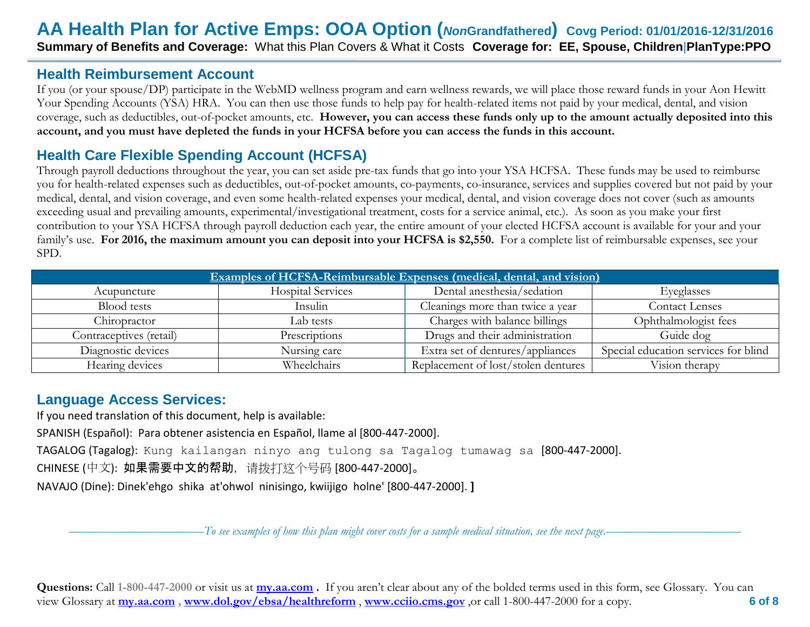#### **Health Reimbursement Account**

If you (or your spouse/DP) participate in the WebMD wellness program and earn wellness rewards, we will place those reward funds in your Aon Hewitt Your Spending Accounts (YSA) HRA. You can then use those funds to help pay for health-related items not paid by your medical, dental, and vision coverage, such as deductibles, out-of-pocket amounts, etc. **However, you can access these funds only up to the amount actually deposited into this account, and you must have depleted the funds in your HCFSA before you can access the funds in this account.**

## **Health Care Flexible Spending Account (HCFSA)**

Through payroll deductions throughout the year, you can set aside pre-tax funds that go into your YSA HCFSA. These funds may be used to reimburse you for health-related expenses such as deductibles, out-of-pocket amounts, co-payments, co-insurance, services and supplies covered but not paid by your medical, dental, and vision coverage, and even some health-related expenses your medical, dental, and vision coverage does not cover (such as amounts exceeding usual and prevailing amounts, experimental/investigational treatment, costs for a service animal, etc.). As soon as you make your first contribution to your YSA HCFSA through payroll deduction each year, the entire amount of your elected HCFSA account is available for your and your family's use. **For 2016, the maximum amount you can deposit into your HCFSA is \$2,550.** For a complete list of reimbursable expenses, see your SPD.

| Examples of HCFSA-Reimbursable Expenses (medical, dental, and vision). |                          |                                     |                                      |  |  |
|------------------------------------------------------------------------|--------------------------|-------------------------------------|--------------------------------------|--|--|
| Acupuncture                                                            | <b>Hospital Services</b> | Dental anesthesia/sedation          | Eyeglasses                           |  |  |
| Blood tests                                                            | Insulin                  | Cleanings more than twice a year    | Contact Lenses                       |  |  |
| Chiropractor                                                           | Lab tests                | Charges with balance billings       | Ophthalmologist fees                 |  |  |
| Contraceptives (retail)                                                | Prescriptions            | Drugs and their administration      | Guide dog                            |  |  |
| Diagnostic devices                                                     | Nursing care             | Extra set of dentures/appliances    | Special education services for blind |  |  |
| Hearing devices                                                        | Wheelchairs              | Replacement of lost/stolen dentures | Vision therapy                       |  |  |

## **Language Access Services:**

If you need translation of this document, help is available: SPANISH (Español): Para obtener asistencia en Español, llame al [800-447-2000]. TAGALOG (Tagalog): Kung kailangan ninyo ang tulong sa Tagalog tumawag sa [800-447-2000]. CHINESE (中文): 如果需要中文的帮助,请拨打这个号码 [800-447-2000]。 NAVAJO (Dine): Dinek'ehgo shika at'ohwol ninisingo, kwiijigo holne' [800-447-2000]. **]**

––––––––––––––––––––––*To see examples of how this plan might cover costs for a sample medical situation, see the next page.–––––––––––*–––––––––––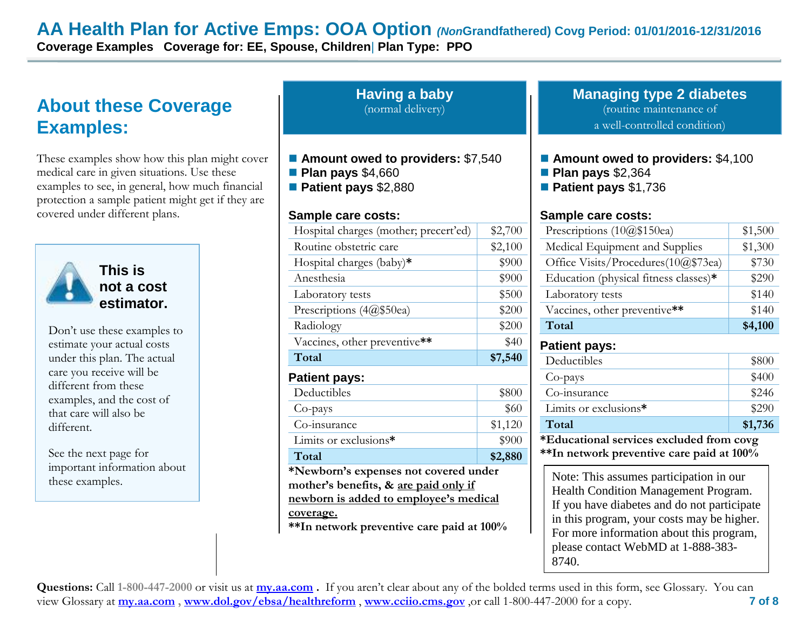**Coverage Examples Coverage for: EE, Spouse, Children**| **Plan Type: PPO**

# **About these Coverage Examples:**

These examples show how this plan might cover medical care in given situations. Use these examples to see, in general, how much financial protection a sample patient might get if they are covered under different plans.



**Having a baby** (normal delivery)

- **Amount owed to providers:** \$7,540
- **Plan pays** \$4,660
- **Patient pays** \$2,880

#### **Sample care costs:**

|                                                     | Hospital charges (mother; precert'ed) | \$2,700                                                                                                                                                               | Prescriptions (10@\$150ea)                |                                                                                                                                                                                                                          |
|-----------------------------------------------------|---------------------------------------|-----------------------------------------------------------------------------------------------------------------------------------------------------------------------|-------------------------------------------|--------------------------------------------------------------------------------------------------------------------------------------------------------------------------------------------------------------------------|
|                                                     | Routine obstetric care                | \$2,100                                                                                                                                                               | Medical Equipment and Supplies            |                                                                                                                                                                                                                          |
|                                                     | Hospital charges (baby) $*$           | \$900                                                                                                                                                                 | Office Visits/Procedures(10@\$73ea)       |                                                                                                                                                                                                                          |
| This is                                             | Anesthesia                            | \$900                                                                                                                                                                 | Education (physical fitness classes)*     |                                                                                                                                                                                                                          |
| not a cost                                          | Laboratory tests                      | \$500                                                                                                                                                                 | Laboratory tests                          |                                                                                                                                                                                                                          |
| estimator.                                          | Prescriptions $(4@$50ea)$             | \$200                                                                                                                                                                 | Vaccines, other preventive**              |                                                                                                                                                                                                                          |
| Don't use these examples to                         | Radiology                             | \$200                                                                                                                                                                 | Total                                     |                                                                                                                                                                                                                          |
| estimate your actual costs                          | Vaccines, other preventive**          | \$40                                                                                                                                                                  | <b>Patient pays:</b>                      |                                                                                                                                                                                                                          |
| under this plan. The actual                         | Total                                 | \$7,540                                                                                                                                                               | Deductibles                               |                                                                                                                                                                                                                          |
| care you receive will be                            | <b>Patient pays:</b>                  |                                                                                                                                                                       |                                           |                                                                                                                                                                                                                          |
| different from these                                | Deductibles                           | \$800                                                                                                                                                                 | Co-insurance                              |                                                                                                                                                                                                                          |
| examples, and the cost of<br>that care will also be | Co-pays                               | \$60                                                                                                                                                                  | Limits or exclusions*                     |                                                                                                                                                                                                                          |
| different.                                          | Co-insurance                          | \$1,120                                                                                                                                                               | Total                                     |                                                                                                                                                                                                                          |
|                                                     | Limits or exclusions*                 | \$900                                                                                                                                                                 | *Educational services excluded from co    |                                                                                                                                                                                                                          |
| See the next page for                               | Total                                 | \$2,880                                                                                                                                                               | ** In network preventive care paid at 100 |                                                                                                                                                                                                                          |
| important information about<br>these examples.      | coverage.                             | *Newborn's expenses not covered under<br>mother's benefits, & are paid only if<br>newborn is added to employee's medical<br>**In network preventive care paid at 100% |                                           | Note: This assumes participation in our<br><b>Health Condition Management Program</b><br>If you have diabetes and do not participa<br>in this program, your costs may be high<br>For more information about this program |

**Managing type 2 diabetes** (routine maintenance of a well-controlled condition)

- **Amount owed to providers: \$4,100**
- **Plan pays** \$2,364
- **Patient pays** \$1,736

#### **Sample care costs:**

| Prescriptions $(10@$150ea)$           | \$1,500 |
|---------------------------------------|---------|
| Medical Equipment and Supplies        | \$1,300 |
| Office Visits/Procedures(10@\$73ea)   | \$730   |
| Education (physical fitness classes)* | \$290   |
| Laboratory tests                      | \$140   |
| Vaccines, other preventive**          | \$140   |
| Total                                 | \$4,100 |

#### **Patient pays:**

| Deductibles           | \$800   |
|-----------------------|---------|
| Co-pays               | \$400   |
| Co-insurance          | \$246   |
| Limits or exclusions* | \$290   |
| Total                 | \$1,736 |
| 1.777.4<br>.          |         |

**\*Educational services excluded from covg \*\*In network preventive care paid at 100%**

Health Condition Management Program. If you have diabetes and do not participate in this program, your costs may be higher. For more information about this program, please contact WebMD at 1-888-383- 8740.